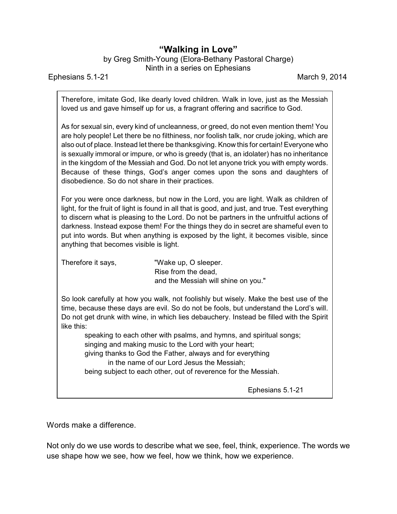## **"Walking in Love"**

by Greg Smith-Young (Elora-Bethany Pastoral Charge) Ninth in a series on Ephesians

Ephesians 5.1-21 March 9, 2014

Therefore, imitate God, like dearly loved children. Walk in love, just as the Messiah loved us and gave himself up for us, a fragrant offering and sacrifice to God.

As for sexual sin, every kind of uncleanness, or greed, do not even mention them! You are holy people! Let there be no filthiness, nor foolish talk, nor crude joking, which are also out of place. Instead let there be thanksgiving. Know this for certain! Everyone who is sexually immoral or impure, or who is greedy (that is, an idolater) has no inheritance in the kingdom of the Messiah and God. Do not let anyone trick you with empty words. Because of these things, God's anger comes upon the sons and daughters of disobedience. So do not share in their practices.

For you were once darkness, but now in the Lord, you are light. Walk as children of light, for the fruit of light is found in all that is good, and just, and true. Test everything to discern what is pleasing to the Lord. Do not be partners in the unfruitful actions of darkness. Instead expose them! For the things they do in secret are shameful even to put into words. But when anything is exposed by the light, it becomes visible, since anything that becomes visible is light.

Therefore it says, "Wake up, O sleeper. Rise from the dead, and the Messiah will shine on you."

So look carefully at how you walk, not foolishly but wisely. Make the best use of the time, because these days are evil. So do not be fools, but understand the Lord's will. Do not get drunk with wine, in which lies debauchery. Instead be filled with the Spirit like this:

speaking to each other with psalms, and hymns, and spiritual songs; singing and making music to the Lord with your heart; giving thanks to God the Father, always and for everything

in the name of our Lord Jesus the Messiah;

being subject to each other, out of reverence for the Messiah.

Ephesians 5.1-21

Words make a difference.

Not only do we use words to describe what we see, feel, think, experience. The words we use shape how we see, how we feel, how we think, how we experience.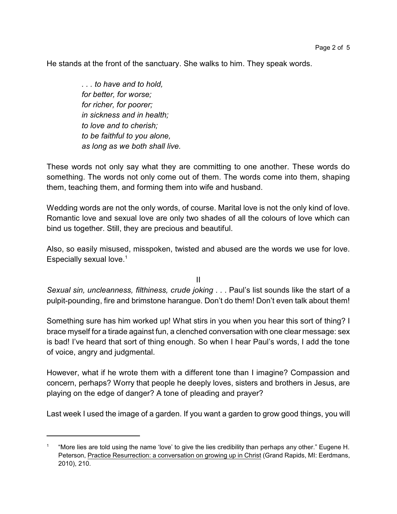He stands at the front of the sanctuary. She walks to him. They speak words.

*. . . to have and to hold, for better, for worse; for richer, for poorer; in sickness and in health; to love and to cherish; to be faithful to you alone, as long as we both shall live.*

These words not only say what they are committing to one another. These words do something. The words not only come out of them. The words come into them, shaping them, teaching them, and forming them into wife and husband.

Wedding words are not the only words, of course. Marital love is not the only kind of love. Romantic love and sexual love are only two shades of all the colours of love which can bind us together. Still, they are precious and beautiful.

Also, so easily misused, misspoken, twisted and abused are the words we use for love. Especially sexual love.<sup>1</sup>

II

*Sexual sin, uncleanness, filthiness, crude joking* . . . Paul's list sounds like the start of a pulpit-pounding, fire and brimstone harangue. Don't do them! Don't even talk about them!

Something sure has him worked up! What stirs in you when you hear this sort of thing? I brace myself for a tirade against fun, a clenched conversation with one clear message: sex is bad! I've heard that sort of thing enough. So when I hear Paul's words, I add the tone of voice, angry and judgmental.

However, what if he wrote them with a different tone than I imagine? Compassion and concern, perhaps? Worry that people he deeply loves, sisters and brothers in Jesus, are playing on the edge of danger? A tone of pleading and prayer?

Last week I used the image of a garden. If you want a garden to grow good things, you will

<sup>1</sup> "More lies are told using the name 'love' to give the lies credibility than perhaps any other." Eugene H. Peterson, Practice Resurrection: a conversation on growing up in Christ (Grand Rapids, MI: Eerdmans, 2010), 210.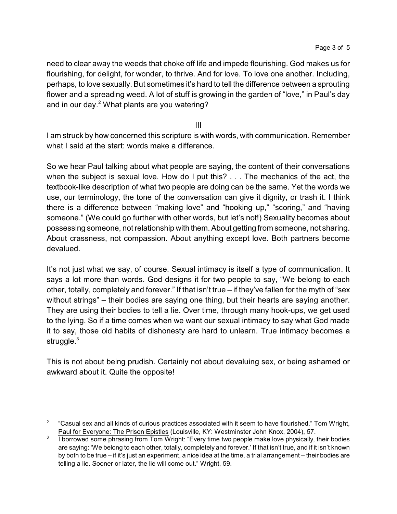need to clear away the weeds that choke off life and impede flourishing. God makes us for flourishing, for delight, for wonder, to thrive. And for love. To love one another. Including, perhaps, to love sexually. But sometimes it's hard to tell the difference between a sprouting flower and a spreading weed. A lot of stuff is growing in the garden of "love," in Paul's day and in our day.<sup>2</sup> What plants are you watering?

III

I am struck by how concerned this scripture is with words, with communication. Remember what I said at the start: words make a difference.

So we hear Paul talking about what people are saying, the content of their conversations when the subject is sexual love. How do I put this? . . . The mechanics of the act, the textbook-like description of what two people are doing can be the same. Yet the words we use, our terminology, the tone of the conversation can give it dignity, or trash it. I think there is a difference between "making love" and "hooking up," "scoring," and "having someone." (We could go further with other words, but let's not!) Sexuality becomes about possessing someone, not relationship with them. About getting from someone, not sharing. About crassness, not compassion. About anything except love. Both partners become devalued.

It's not just what we say, of course. Sexual intimacy is itself a type of communication. It says a lot more than words. God designs it for two people to say, "We belong to each other, totally, completely and forever." If that isn't true – if they've fallen for the myth of "sex without strings" – their bodies are saying one thing, but their hearts are saying another. They are using their bodies to tell a lie. Over time, through many hook-ups, we get used to the lying. So if a time comes when we want our sexual intimacy to say what God made it to say, those old habits of dishonesty are hard to unlearn. True intimacy becomes a struggle.<sup>3</sup>

This is not about being prudish. Certainly not about devaluing sex, or being ashamed or awkward about it. Quite the opposite!

<sup>2</sup> "Casual sex and all kinds of curious practices associated with it seem to have flourished." Tom Wright, Paul for Everyone: The Prison Epistles (Louisville, KY: Westminster John Knox, 2004), 57.

<sup>3</sup> I borrowed some phrasing from Tom Wright: "Every time two people make love physically, their bodies are saying: 'We belong to each other, totally, completely and forever.' If that isn't true, and if it isn't known by both to be true – if it's just an experiment, a nice idea at the time, a trial arrangement – their bodies are telling a lie. Sooner or later, the lie will come out." Wright, 59.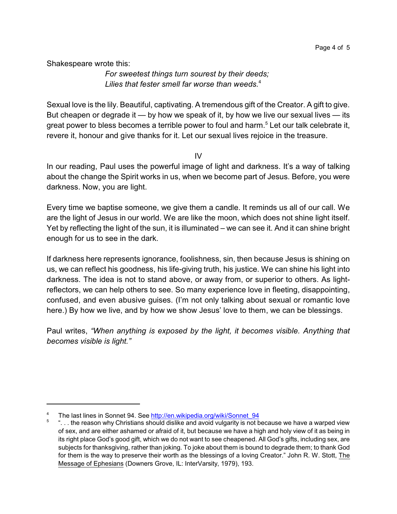Shakespeare wrote this:

*For sweetest things turn sourest by their deeds; Lilies that fester smell far worse than weeds.*<sup>4</sup>

Sexual love is the lily. Beautiful, captivating. A tremendous gift of the Creator. A gift to give. But cheapen or degrade it  $-$  by how we speak of it, by how we live our sexual lives  $-$  its great power to bless becomes a terrible power to foul and harm. 5 Let our talk celebrate it, revere it, honour and give thanks for it. Let our sexual lives rejoice in the treasure.

 $IV$ 

In our reading, Paul uses the powerful image of light and darkness. It's a way of talking about the change the Spirit works in us, when we become part of Jesus. Before, you were darkness. Now, you are light.

Every time we baptise someone, we give them a candle. It reminds us all of our call. We are the light of Jesus in our world. We are like the moon, which does not shine light itself. Yet by reflecting the light of the sun, it is illuminated – we can see it. And it can shine bright enough for us to see in the dark.

If darkness here represents ignorance, foolishness, sin, then because Jesus is shining on us, we can reflect his goodness, his life-giving truth, his justice. We can shine his light into darkness. The idea is not to stand above, or away from, or superior to others. As lightreflectors, we can help others to see. So many experience love in fleeting, disappointing, confused, and even abusive guises. (I'm not only talking about sexual or romantic love here.) By how we live, and by how we show Jesus' love to them, we can be blessings.

Paul writes, *"When anything is exposed by the light, it becomes visible. Anything that becomes visible is light."*

The last lines in Sonnet 94. See [http://en.wikipedia.org/wiki/Sonnet\\_94](http://en.wikipedia.org/wiki/Sonnet_94)

 $5$   $\ldots$  the reason why Christians should dislike and avoid vulgarity is not because we have a warped view of sex, and are either ashamed or afraid of it, but because we have a high and holy view of it as being in its right place God's good gift, which we do not want to see cheapened. All God's gifts, including sex, are subjects for thanksgiving, rather than joking. To joke about them is bound to degrade them; to thank God for them is the way to preserve their worth as the blessings of a loving Creator." John R. W. Stott, The Message of Ephesians (Downers Grove, IL: InterVarsity, 1979), 193.